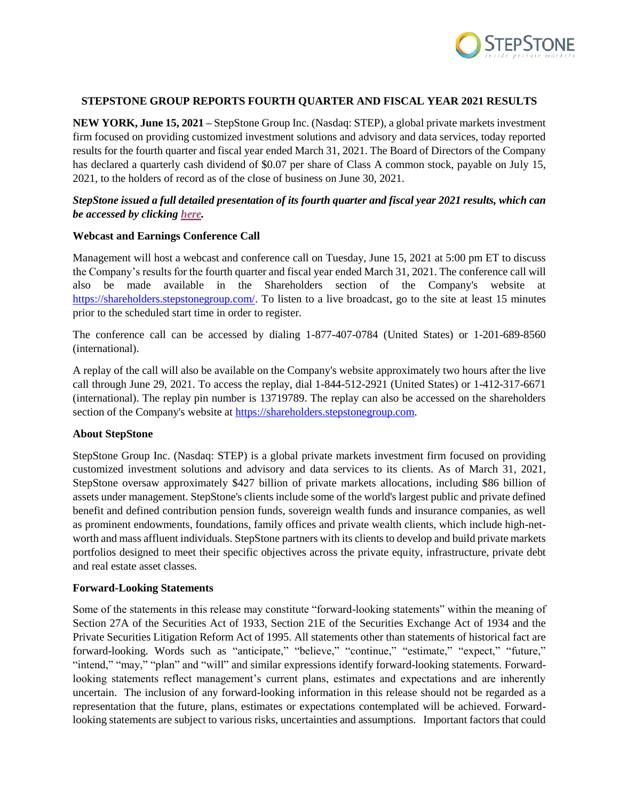

### **STEPSTONE GROUP REPORTS FOURTH QUARTER AND FISCAL YEAR 2021 RESULTS**

**NEW YORK, June 15, 2021 –** StepStone Group Inc. (Nasdaq: STEP), a global private markets investment firm focused on providing customized investment solutions and advisory and data services, today reported results for the fourth quarter and fiscal year ended March 31, 2021. The Board of Directors of the Company has declared a quarterly cash dividend of \$0.07 per share of Class A common stock, payable on July 15, 2021, to the holders of record as of the close of business on June 30, 2021.

# *StepStone issued a full detailed presentation of its fourth quarter and fiscal year 2021 results, which can be accessed by clicking [here.](https://stepstonegroupinc.gcs-web.com/financial-information/financial-results)*

### **Webcast and Earnings Conference Call**

Management will host a webcast and conference call on Tuesday, June 15, 2021 at 5:00 pm ET to discuss the Company's results for the fourth quarter and fiscal year ended March 31, 2021. The conference call will also be made available in the Shareholders section of the Company's website at [https://shareholders.stepstonegroup.com/.](https://shareholders.stepstonegroup.com/) To listen to a live broadcast, go to the site at least 15 minutes prior to the scheduled start time in order to register.

The conference call can be accessed by dialing 1-877-407-0784 (United States) or 1-201-689-8560 (international).

A replay of the call will also be available on the Company's website approximately two hours after the live call through June 29, 2021. To access the replay, dial 1-844-512-2921 (United States) or 1-412-317-6671 (international). The replay pin number is 13719789. The replay can also be accessed on the shareholders section of the Company's website at [https://shareholders.stepstonegroup.com.](https://shareholders.stepstonegroup.com/)

#### **About StepStone**

StepStone Group Inc. (Nasdaq: STEP) is a global private markets investment firm focused on providing customized investment solutions and advisory and data services to its clients. As of March 31, 2021, StepStone oversaw approximately \$427 billion of private markets allocations, including \$86 billion of assets under management. StepStone's clients include some of the world's largest public and private defined benefit and defined contribution pension funds, sovereign wealth funds and insurance companies, as well as prominent endowments, foundations, family offices and private wealth clients, which include high-networth and mass affluent individuals. StepStone partners with its clients to develop and build private markets portfolios designed to meet their specific objectives across the private equity, infrastructure, private debt and real estate asset classes.

#### **Forward-Looking Statements**

Some of the statements in this release may constitute "forward-looking statements" within the meaning of Section 27A of the Securities Act of 1933, Section 21E of the Securities Exchange Act of 1934 and the Private Securities Litigation Reform Act of 1995. All statements other than statements of historical fact are forward-looking. Words such as "anticipate," "believe," "continue," "estimate," "expect," "future," "intend," "may," "plan" and "will" and similar expressions identify forward-looking statements. Forwardlooking statements reflect management's current plans, estimates and expectations and are inherently uncertain. The inclusion of any forward-looking information in this release should not be regarded as a representation that the future, plans, estimates or expectations contemplated will be achieved. Forwardlooking statements are subject to various risks, uncertainties and assumptions. Important factors that could